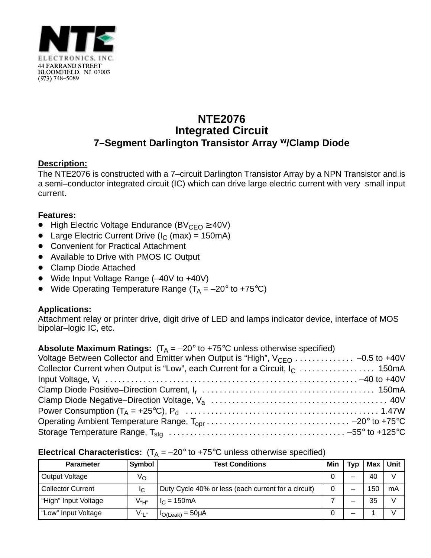

# **NTE2076 Integrated Circuit 7–Segment Darlington Transistor Array w/Clamp Diode**

### **Description:**

The NTE2076 is constructed with a 7–circuit Darlington Transistor Array by a NPN Transistor and is a semi–conductor integrated circuit (IC) which can drive large electric current with very small input current.

### **Features:**

- -<br>• High Electric Voltage Endurance (BV<sub>CEO</sub>  $\geq$  40V)
- Large Electric Current Drive ( $I_C$  (max) = 150mA)
- Convenient for Practical Attachment
- Available to Drive with PMOS IC Output
- Clamp Diode Attached
- Wide Input Voltage Range (-40V to +40V)
- Wide Operating Temperature Range  $(T_A = -20^\circ$  to +75°C)

# **Applications:**

Attachment relay or printer drive, digit drive of LED and lamps indicator device, interface of MOS bipolar–logic IC, etc.

|  | <b>Absolute Maximum Ratings:</b> $(T_A = -20^\circ \text{ to } +75^\circ \text{C}$ unless otherwise specified) |  |
|--|----------------------------------------------------------------------------------------------------------------|--|
|  |                                                                                                                |  |

| Voltage Between Collector and Emitter when Output is "High", $V_{CEO}$ -0.5 to +40V |  |
|-------------------------------------------------------------------------------------|--|
|                                                                                     |  |
|                                                                                     |  |
|                                                                                     |  |
|                                                                                     |  |
|                                                                                     |  |
|                                                                                     |  |
|                                                                                     |  |

# **Electrical Characteristics:**  $(T_A = -20^\circ$  to +75°C unless otherwise specified)

| <b>Parameter</b>         | Symbol         | <b>Test Conditions</b>                              | Min | <b>Typ</b> | Max | <b>Unit</b> |
|--------------------------|----------------|-----------------------------------------------------|-----|------------|-----|-------------|
| Output Voltage           | ٧o             |                                                     |     | _          | 40  |             |
| <b>Collector Current</b> | IC.            | Duty Cycle 40% or less (each current for a circuit) | 0   | -          | 150 | mA          |
| "High" Input Voltage     | $V_{\text{H}}$ | $I_{C} = 150 \text{mA}$                             |     |            | 35  |             |
| "Low" Input Voltage      | \/պ.»          | $H_{O(Leak)} = 50 \mu A$                            |     | -          |     |             |